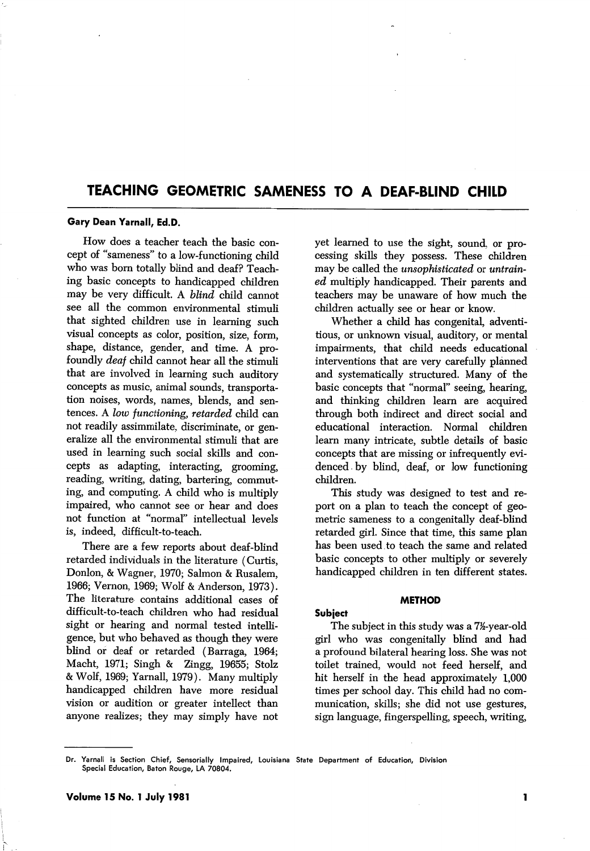# TEACHING GEOMETRIC SAMENESS TO A DEAF-BLIND CHILD

### Gary Dean Yarnall, Ed.D.

How does a teacher teach the basic con cept of "sameness" to a low-functioning child who was born totally blind and deaf? Teach ing basic concepts to handicapped children may be very difficult. A blind child cannot see all the common environmental stimuli that sighted children use in learning such visual concepts as color, position, size, form, shape, distance, gender, and time. A pro foundly deaf child cannot hear all the stimuli that are involved in learning such auditory concepts as music, animal sounds, transporta tion noises, words, names, blends, and sen tences. A low functioning, retarded child can not readily assimmilate, discriminate, or gen eralize all the environmental stimuli that are used in learning such social skills and con cepts as adapting, interacting, grooming, reading, writing, dating, bartering, commut ing, and computing. A child who is multiply impaired, who cannot see or hear and does not function at "normal" intellectual levels is, indeed, difficult-to-teach.

There are a few reports about deaf-blind retarded individuals in the literature (Curtis, Donlon, & Wagner, 1970; Salmon & Rusalem, 1966; Vernon, 1969; Wolf & Anderson, 1973). The literature contains additional cases of difficult-to-teach children who had residual sight or hearing and normal tested intelli gence, but who behaved as though they were blind or deaf or retarded (Barraga, 1964; Macht, 1971; Singh & Zingg, 19655; Stolz & Wolf, 1969; Yarnall, 1979). Many multiply handicapped children have more residual vision or audition or greater intellect than anyone realizes; they may simply have not

yet learned to use the sight, sound, or pro cessing skills they possess. These children may be called the unsophisticated or untrain ed multiply handicapped. Their parents and teachers may be unaware of how much the children actually see or hear or know.

Whether a child has congenital, adventi tious, or unknown visual, auditory, or mental impairments, that child needs educational interventions that are very carefully planned and systematically structured. Many of the basic concepts that "normal" seeing, hearing, and thinking children learn are acquired through both indirect and direct social and educational interaction. Normal children learn many intricate, subtle details of basic concepts that are missing or infrequently evi denced by blind, deaf, or low functioning children.

This study was designed to test and re port on a plan to teach the concept of geo metric sameness to a congenitally deaf-blind retarded girl. Since that time, this same plan has been used to teach the same and related basic concepts to other multiply or severely handicapped children in ten different states.

#### METHOD

## Subject

The subject in this study was a 7<sup>12</sup>-year-old girl who was congenitally blind and had a profound bilateral hearing loss. She was not toilet trained, would not feed herself, and hit herself in the head approximately 1,000 times per school day. This child had no com munication, skills; she did not use gestures, sign language, fingerspelling, speech, writing.

1

Dr. Yarnall is Section Chief, Sensorially Impaired, Louisiana State Department of Education, Division Special Education, Baton Rouge, LA 70804.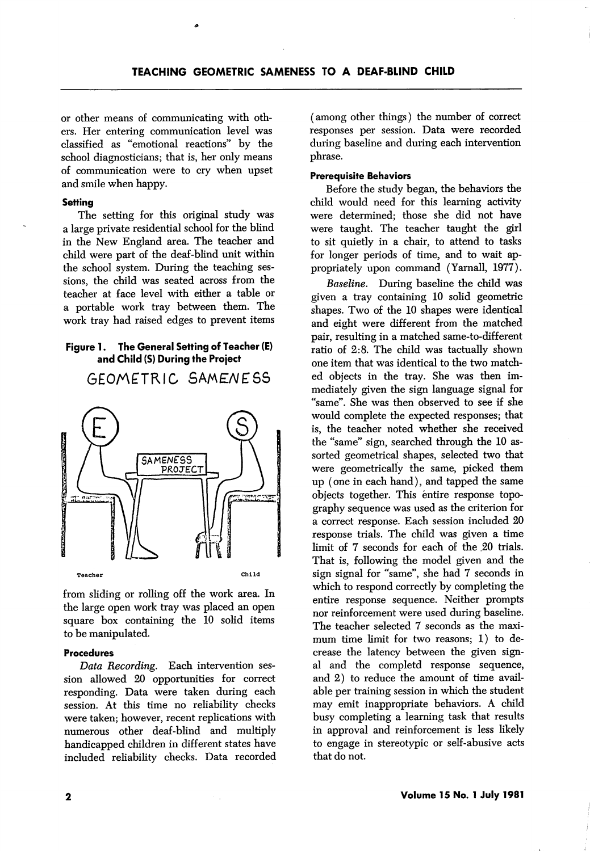or other means of communicating with oth ers. Her entering communication level was classified as "emotional reactions" by the school diagnosticians; that is, her only means of communication were to cry when upset and smile when happy.

### **Setting**

The setting for this original study was a large private residential school for the blind in the New England area. The teacher and child were part of the deaf-blind unit within the school system. During the teaching ses sions, the child was seated across from the teacher at face level with either a table or a portable work tray between them. The work tray had raised edges to prevent items

## Figure 1. The General Setting of Teacher (E) and Child (S) During the Project

GEOMETRIC SAMENESS



from sliding or rolling off the work area. In the large open work tray was placed an open square box containing the 10 solid items to be manipulated.

#### Procedures

Data Recording. Each intervention ses sion allowed 20 opportunities for correct responding. Data were taken during each session. At this time no reliability checks were taken; however, recent replications with numerous other deaf-blind and multiply handicapped children in different states have included reliability checks. Data recorded

(among other things) the number of correct responses per session. Data were recorded during baseline and during each intervention phrase.

### Prerequisite Behaviors

Before the study began, the behaviors the child would need for this learning activity were determined; those she did not have were taught. The teacher taught the girl to sit quietly in a chair, to attend to tasks for longer periods of time, and to wait ap propriately upon command (Yarnall, 1977).

Baseline. During baseline the child was given a tray containing 10 solid geometric shapes. Two of the 10 shapes were identical and eight were different from the matched pair, resulting in a matched same-to-different ratio of 2:8. The child was tactually shown one item that was identical to the two match ed objects in the tray. She was then im mediately given the sign language signal for "same". She was then observed to see if she would complete the expected responses; that is, the teacher noted whether she received the "same" sign, searched through the 10 as sorted geometrical shapes, selected two that were geometrically the same, picked them up (one in each hand), and tapped the same objects together. This entire response topo graphy sequence was used as the criterion for a correct response. Each session included 20 response trials. The child was given a time limit of 7 seconds for each of the 20 trials. That is, following the model given and the sign signal for "same", she had 7 seconds in which to respond correctly by completing the entire response sequence. Neither prompts nor reinforcement were used during baseline. The teacher selected 7 seconds as the maxi mum time limit for two reasons; 1) to de crease the latency between the given sign al and the completd response sequence, and 2) to reduce the amount of time avail able per training session in which the student may emit inappropriate behaviors. A child busy completing a learning task that results in approval and reinforcement is less likely to engage in stereotypic or self-abusive acts that do not.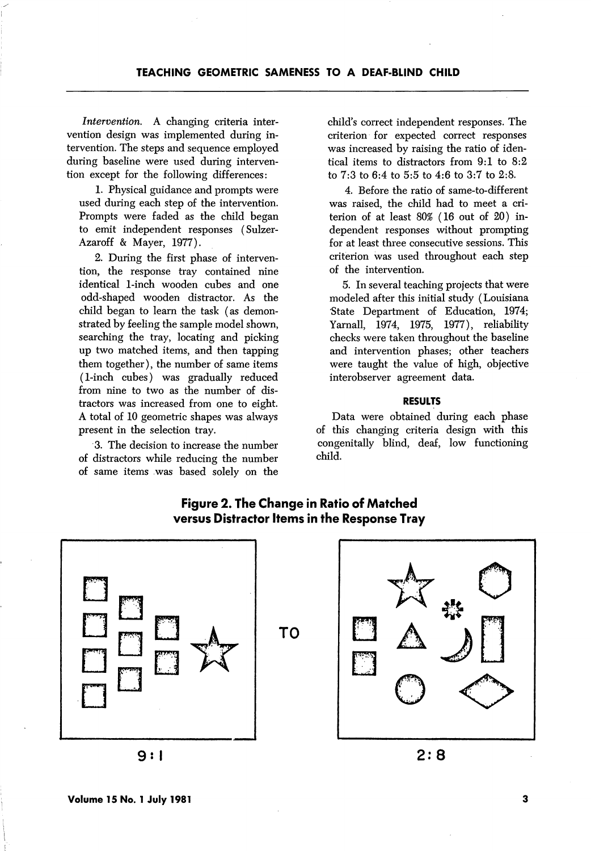Intervention. A changing criteria inter vention design was implemented during in tervention. The steps and sequence employed during baseline were used during interven tion except for the following differences:

1. Physical guidance and prompts were used during each step of the intervention. Prompts were faded as the child began to emit independent responses (Sulzer-Azaroff & Mayer, 1977).

2. During the first phase of interven tion, the response tray contained nine identical 1-inch wooden cubes and one odd-shaped wooden distractor. As the child began to learn the task (as demon strated by feeling the sample model shown, searching the tray, locating and picking up two matched items, and then tapping them together), the number of same items (1-inch cubes) was gradually reduced from nine to two as the number of distractors was increased from one to eight. A total of 10 geometric shapes was always present in the selection tray.

3. The decision to increase the number of distractors while reducing the number of same items was based solely on the child's correct independent responses. The criterion for expected correct responses was increased by raising the ratio of iden tical items to distractors from 9:1 to 8:2 to 7:3 to 6:4 to 5:5 to 4:6 to 3:7 to 2:8.

4. Before the ratio of same-to-different was raised, the child had to meet a cri terion of at least 80% (16 out of 20) in dependent responses without prompting for at least three consecutive sessions. This criterion was used throughout each step of the intervention.

5. In several teaching projects that were modeled after this initial study (Louisiana State Department of Education, 1974; Yarnall, 1974, 1975, 1977), reliability checks were taken throughout the baseline and intervention phases; other teachers were taught the value of high, objective interobserver agreement data.

## RESULTS

Data were obtained during each phase of this changing criteria design with this congenitally blind, deaf, low functioning child.

 $2:8$ 



# Figure 2. The Change in Ratio of Matched versus Distractor Items in the Response Tray

9: <sup>1</sup>

3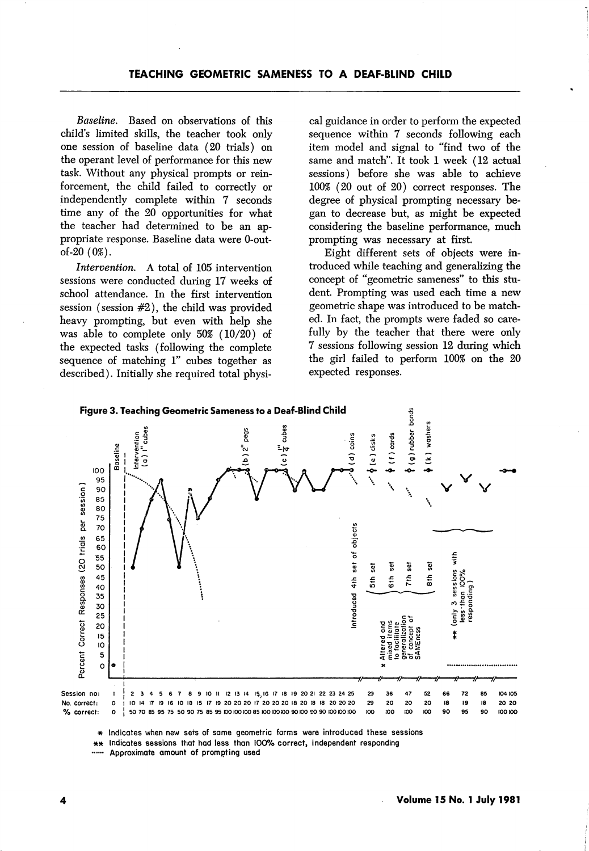Baseline. Based on observations of this child's limited skills, the teacher took only one session of baseline data (20 trials) on the operant level of performance for this new task. Without any physical prompts or rein forcement, the child failed to correctly or independently complete within 7 seconds time any of the 20 opportunities for what the teacher had determined to be an ap propriate response. Baseline data were 0-outof-20 (0%).

Intervention. A total of 105 intervention sessions were conducted during 17 weeks of school attendance. In the first intervention session (session #2), the child was provided heavy prompting, but even with help she was able to complete only 50% (10/20) of the expected tasks (following the complete sequence of matching 1" cubes together as described). Initially she required total physi

cal guidance in order to perform the expected sequence within 7 seconds following each item model and signal to "find two of the same and match". It took 1 week (12 actual sessions) before she was able to achieve 100% (20 out of 20) correct responses. The degree of physical prompting necessary be gan to decrease but, as might be expected considering the baseline performance, much prompting was necessary at first.

Eight different sets of objects were in troduced while teaching and generalizing the concept of "geometric sameness" to this stu dent. Prompting was used each time a new geometric shape was introduced to be match ed. In fact, the prompts were faded so care fully by the teacher that there were only 7 sessions following session 12 during which the girl failed to perform 100% on the 20 expected responses.



\* Indicates when new sets of same geometric forms were introduced these sessions

Indicates sessions that had less than 100% correct, independent responding

Approximate amount of prompting used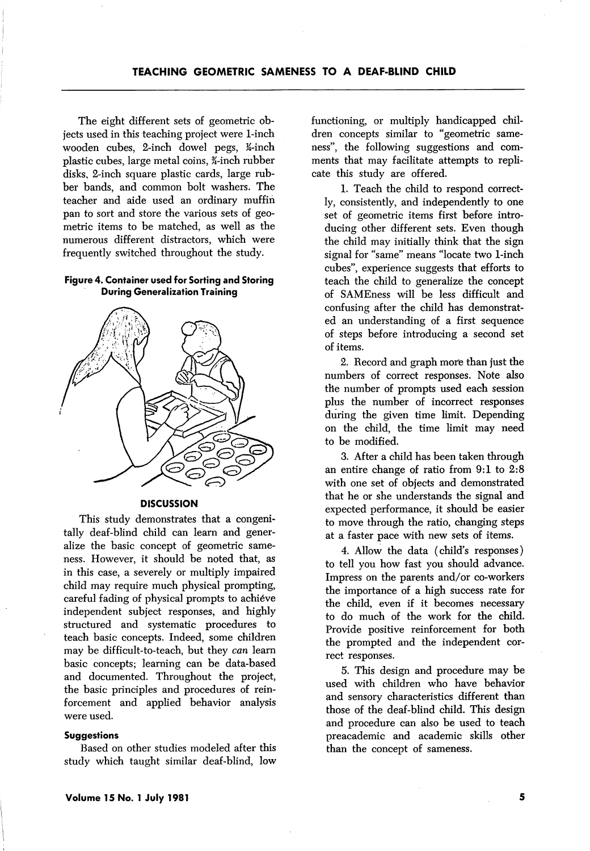The eight different sets of geometric ob jects used in this teaching project were 1-inch wooden cubes, 2-inch dowel pegs,  $\frac{1}{4}$ -inch plastic cubes, large metal coins, ¥-inch rubber disks, 2-inch square plastic cards, large rub ber bands, and common bolt washers. The teacher and aide used an ordinary muffin pan to sort and store the various sets of geo metric items to be matched, as well as the numerous different distractors, which were frequently switched throughout the study.

## Figure 4. Container used for Sorting and Storing During Generalization Training



### **DISCUSSION**

This study demonstrates that a congenitally deaf-blind child can learn and gener alize the basic concept of geometric same ness. However, it should be noted that, as in this case, a severely or multiply impaired child may require much physical prompting, careful fading of physical prompts to achieve independent subject responses, and highly structured and systematic procedures to teach basic concepts. Indeed, some children may be difficult-to-teach, but they can learn basic concepts; learning can be data-based and documented. Throughout the project, the basic principles and procedures of rein forcement and applied behavior analysis were used.

#### **Suggestions**

Based on other studies modeled after this study which taught similar deaf-blind, low functioning, or multiply handicapped chil dren concepts similar to "geometric same ness", the following suggestions and com ments that may facilitate attempts to repli cate this study are offered.

1. Teach the child to respond correct ly, consistently, and independently to one set of geometric items first before intro ducing other different sets. Even though the child may initially think that the sign signal for "same" means "locate two 1-inch cubes", experience suggests that efforts to teach the child to generalize the concept of SAMEness will be less difficult and confusing after the child has demonstrat ed an understanding of a first sequence of steps before introducing a second set of items.

2. Record and graph more than just the numbers of correct responses. Note also the number of prompts used each session plus the number of incorrect responses during the given time limit. Depending on the child, the time limit may need to be modified.

3. After a child has been taken through an entire change of ratio from 9:1 to 2:8 with one set of objects and demonstrated that he or she understands the signal and expected performance, it should be easier to move through the ratio, changing steps at a faster pace with new sets of items.

4. Allow the data (child's responses) to tell you how fast you should advance. Impress on the parents and/or co-workers the importance of a high success rate for the child, even if it becomes necessary to do much of the work for the child. Provide positive reinforcement for both the prompted and the independent cor rect responses.

5. This design and procedure may be used with children who have behavior and sensory characteristics different than those of the deaf-blind child. This design and procedure can also be used to teach preacademic and academic skills other than the concept of sameness.